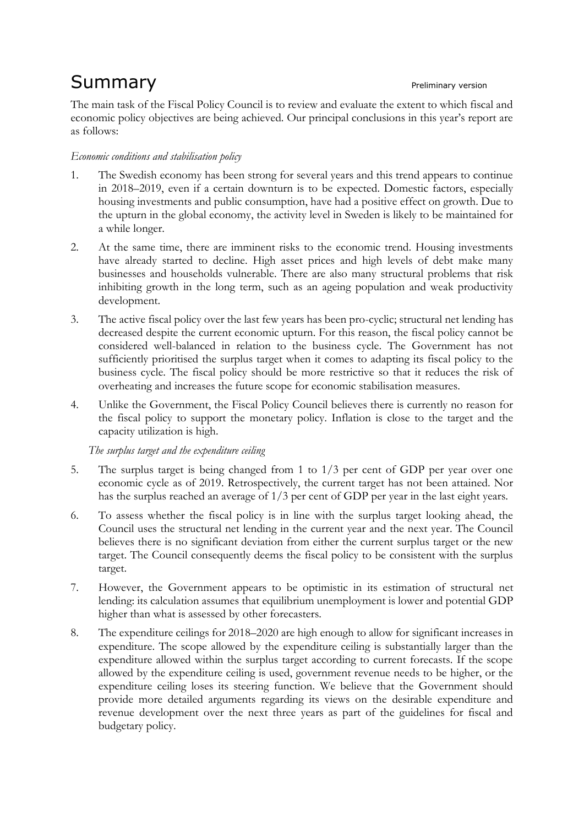# Summary **Example 2018** Preliminary version

The main task of the Fiscal Policy Council is to review and evaluate the extent to which fiscal and economic policy objectives are being achieved. Our principal conclusions in this year's report are as follows:

## *Economic conditions and stabilisation policy*

- 1. The Swedish economy has been strong for several years and this trend appears to continue in 2018–2019, even if a certain downturn is to be expected. Domestic factors, especially housing investments and public consumption, have had a positive effect on growth. Due to the upturn in the global economy, the activity level in Sweden is likely to be maintained for a while longer.
- 2. At the same time, there are imminent risks to the economic trend. Housing investments have already started to decline. High asset prices and high levels of debt make many businesses and households vulnerable. There are also many structural problems that risk inhibiting growth in the long term, such as an ageing population and weak productivity development.
- 3. The active fiscal policy over the last few years has been pro-cyclic; structural net lending has decreased despite the current economic upturn. For this reason, the fiscal policy cannot be considered well-balanced in relation to the business cycle. The Government has not sufficiently prioritised the surplus target when it comes to adapting its fiscal policy to the business cycle. The fiscal policy should be more restrictive so that it reduces the risk of overheating and increases the future scope for economic stabilisation measures.
- 4. Unlike the Government, the Fiscal Policy Council believes there is currently no reason for the fiscal policy to support the monetary policy. Inflation is close to the target and the capacity utilization is high.

*The surplus target and the expenditure ceiling*

- 5. The surplus target is being changed from 1 to 1/3 per cent of GDP per year over one economic cycle as of 2019. Retrospectively, the current target has not been attained. Nor has the surplus reached an average of 1/3 per cent of GDP per year in the last eight years.
- 6. To assess whether the fiscal policy is in line with the surplus target looking ahead, the Council uses the structural net lending in the current year and the next year. The Council believes there is no significant deviation from either the current surplus target or the new target. The Council consequently deems the fiscal policy to be consistent with the surplus target.
- 7. However, the Government appears to be optimistic in its estimation of structural net lending: its calculation assumes that equilibrium unemployment is lower and potential GDP higher than what is assessed by other forecasters.
- 8. The expenditure ceilings for 2018–2020 are high enough to allow for significant increases in expenditure. The scope allowed by the expenditure ceiling is substantially larger than the expenditure allowed within the surplus target according to current forecasts. If the scope allowed by the expenditure ceiling is used, government revenue needs to be higher, or the expenditure ceiling loses its steering function. We believe that the Government should provide more detailed arguments regarding its views on the desirable expenditure and revenue development over the next three years as part of the guidelines for fiscal and budgetary policy.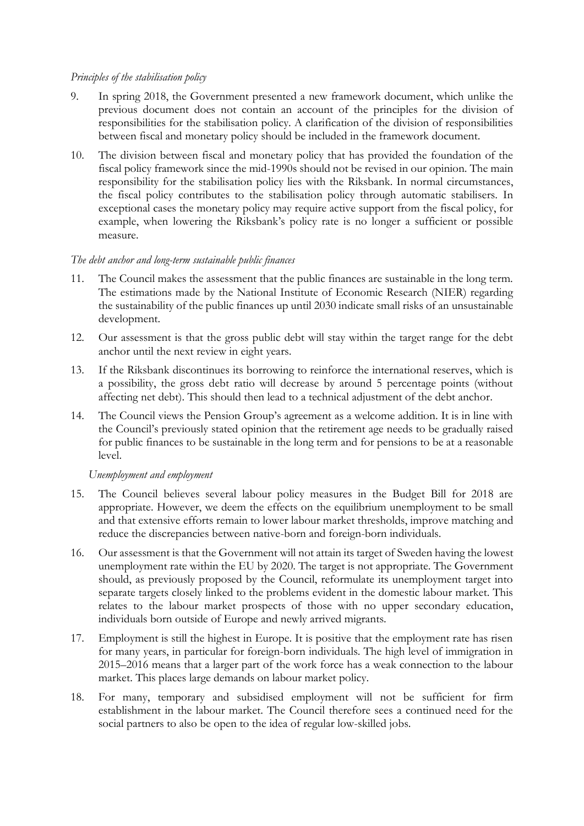#### *Principles of the stabilisation policy*

- 9. In spring 2018, the Government presented a new framework document, which unlike the previous document does not contain an account of the principles for the division of responsibilities for the stabilisation policy. A clarification of the division of responsibilities between fiscal and monetary policy should be included in the framework document.
- 10. The division between fiscal and monetary policy that has provided the foundation of the fiscal policy framework since the mid-1990s should not be revised in our opinion. The main responsibility for the stabilisation policy lies with the Riksbank. In normal circumstances, the fiscal policy contributes to the stabilisation policy through automatic stabilisers. In exceptional cases the monetary policy may require active support from the fiscal policy, for example, when lowering the Riksbank's policy rate is no longer a sufficient or possible measure.

## *The debt anchor and long-term sustainable public finances*

- 11. The Council makes the assessment that the public finances are sustainable in the long term. The estimations made by the National Institute of Economic Research (NIER) regarding the sustainability of the public finances up until 2030 indicate small risks of an unsustainable development.
- 12. Our assessment is that the gross public debt will stay within the target range for the debt anchor until the next review in eight years.
- 13. If the Riksbank discontinues its borrowing to reinforce the international reserves, which is a possibility, the gross debt ratio will decrease by around 5 percentage points (without affecting net debt). This should then lead to a technical adjustment of the debt anchor.
- 14. The Council views the Pension Group's agreement as a welcome addition. It is in line with the Council's previously stated opinion that the retirement age needs to be gradually raised for public finances to be sustainable in the long term and for pensions to be at a reasonable level.

## *Unemployment and employment*

- 15. The Council believes several labour policy measures in the Budget Bill for 2018 are appropriate. However, we deem the effects on the equilibrium unemployment to be small and that extensive efforts remain to lower labour market thresholds, improve matching and reduce the discrepancies between native-born and foreign-born individuals.
- 16. Our assessment is that the Government will not attain its target of Sweden having the lowest unemployment rate within the EU by 2020. The target is not appropriate. The Government should, as previously proposed by the Council, reformulate its unemployment target into separate targets closely linked to the problems evident in the domestic labour market. This relates to the labour market prospects of those with no upper secondary education, individuals born outside of Europe and newly arrived migrants.
- 17. Employment is still the highest in Europe. It is positive that the employment rate has risen for many years, in particular for foreign-born individuals. The high level of immigration in 2015–2016 means that a larger part of the work force has a weak connection to the labour market. This places large demands on labour market policy.
- 18. For many, temporary and subsidised employment will not be sufficient for firm establishment in the labour market. The Council therefore sees a continued need for the social partners to also be open to the idea of regular low-skilled jobs.